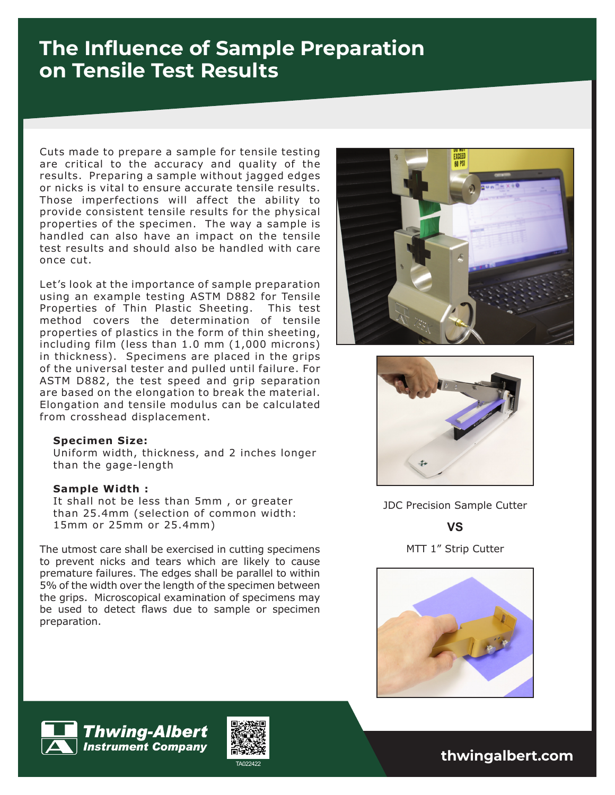## **The Influence of Sample Preparation on Tensile Test Results**

Cuts made to prepare a sample for tensile testing are critical to the accuracy and quality of the results. Preparing a sample without jagged edges or nicks is vital to ensure accurate tensile results. Those imperfections will affect the ability to provide consistent tensile results for the physical properties of the specimen. The way a sample is handled can also have an impact on the tensile test results and should also be handled with care once cut.

Let's look at the importance of sample preparation using an example testing ASTM D882 for Tensile Properties of Thin Plastic Sheeting. This test method covers the determination of tensile properties of plastics in the form of thin sheeting, including film (less than 1.0 mm (1,000 microns) in thickness). Specimens are placed in the grips of the universal tester and pulled until failure. For ASTM D882, the test speed and grip separation are based on the elongation to break the material. Elongation and tensile modulus can be calculated from crosshead displacement.

## **Specimen Size:**

Uniform width, thickness, and 2 inches longer than the gage-length

## **Sample Width :**

It shall not be less than 5mm , or greater than 25.4mm (selection of common width: 15mm or 25mm or 25.4mm)

The utmost care shall be exercised in cutting specimens to prevent nicks and tears which are likely to cause premature failures. The edges shall be parallel to within 5% of the width over the length of the specimen between the grips. Microscopical examination of specimens may be used to detect flaws due to sample or specimen preparation.





JDC Precision Sample Cutter

**VS**

MTT 1" Strip Cutter







TA022422 **thwingalbert.com**